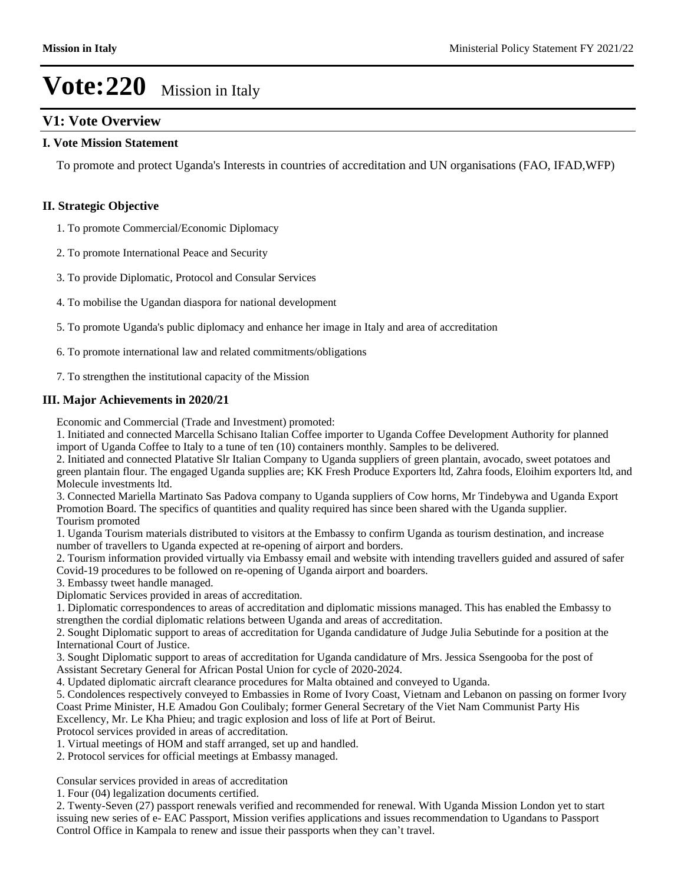#### **V1: Vote Overview**

#### **I. Vote Mission Statement**

To promote and protect Uganda's Interests in countries of accreditation and UN organisations (FAO, IFAD,WFP)

#### **II. Strategic Objective**

1. To promote Commercial/Economic Diplomacy

2. To promote International Peace and Security

3. To provide Diplomatic, Protocol and Consular Services

4. To mobilise the Ugandan diaspora for national development

5. To promote Uganda's public diplomacy and enhance her image in Italy and area of accreditation

6. To promote international law and related commitments/obligations

7. To strengthen the institutional capacity of the Mission

#### **III. Major Achievements in 2020/21**

Economic and Commercial (Trade and Investment) promoted:

1. Initiated and connected Marcella Schisano Italian Coffee importer to Uganda Coffee Development Authority for planned import of Uganda Coffee to Italy to a tune of ten (10) containers monthly. Samples to be delivered.

2. Initiated and connected Platative Slr Italian Company to Uganda suppliers of green plantain, avocado, sweet potatoes and green plantain flour. The engaged Uganda supplies are; KK Fresh Produce Exporters ltd, Zahra foods, Eloihim exporters ltd, and Molecule investments ltd.

3. Connected Mariella Martinato Sas Padova company to Uganda suppliers of Cow horns, Mr Tindebywa and Uganda Export Promotion Board. The specifics of quantities and quality required has since been shared with the Uganda supplier. Tourism promoted

1. Uganda Tourism materials distributed to visitors at the Embassy to confirm Uganda as tourism destination, and increase number of travellers to Uganda expected at re-opening of airport and borders.

2. Tourism information provided virtually via Embassy email and website with intending travellers guided and assured of safer Covid-19 procedures to be followed on re-opening of Uganda airport and boarders.

3. Embassy tweet handle managed.

Diplomatic Services provided in areas of accreditation.

1. Diplomatic correspondences to areas of accreditation and diplomatic missions managed. This has enabled the Embassy to strengthen the cordial diplomatic relations between Uganda and areas of accreditation.

2. Sought Diplomatic support to areas of accreditation for Uganda candidature of Judge Julia Sebutinde for a position at the International Court of Justice.

3. Sought Diplomatic support to areas of accreditation for Uganda candidature of Mrs. Jessica Ssengooba for the post of Assistant Secretary General for African Postal Union for cycle of 2020-2024.

4. Updated diplomatic aircraft clearance procedures for Malta obtained and conveyed to Uganda.

5. Condolences respectively conveyed to Embassies in Rome of Ivory Coast, Vietnam and Lebanon on passing on former Ivory Coast Prime Minister, H.E Amadou Gon Coulibaly; former General Secretary of the Viet Nam Communist Party His Excellency, Mr. Le Kha Phieu; and tragic explosion and loss of life at Port of Beirut.

Protocol services provided in areas of accreditation.

1. Virtual meetings of HOM and staff arranged, set up and handled.

2. Protocol services for official meetings at Embassy managed.

Consular services provided in areas of accreditation

1. Four (04) legalization documents certified.

2. Twenty-Seven (27) passport renewals verified and recommended for renewal. With Uganda Mission London yet to start issuing new series of e- EAC Passport, Mission verifies applications and issues recommendation to Ugandans to Passport Control Office in Kampala to renew and issue their passports when they can't travel.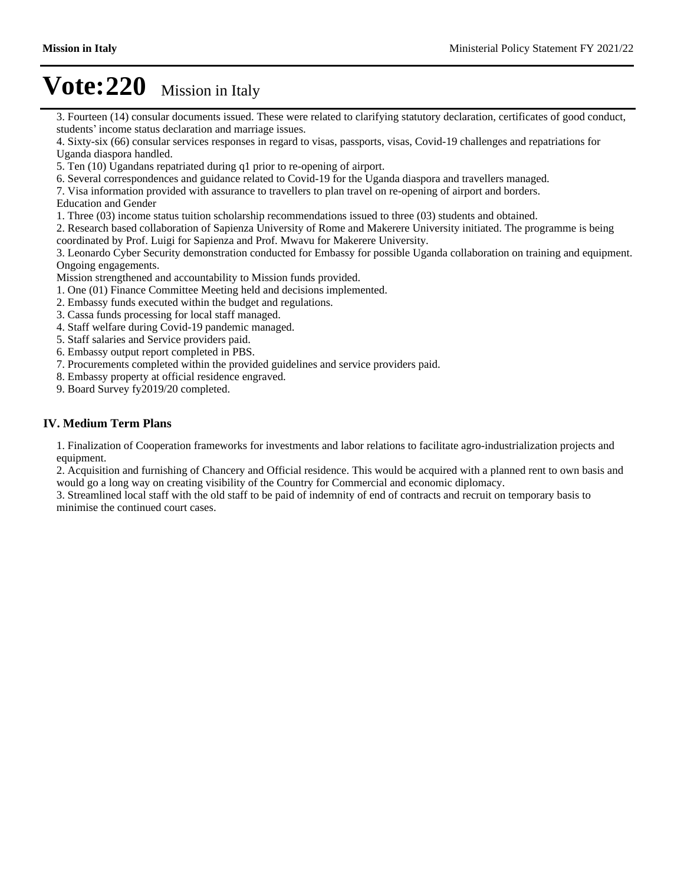3. Fourteen (14) consular documents issued. These were related to clarifying statutory declaration, certificates of good conduct, students' income status declaration and marriage issues.

4. Sixty-six (66) consular services responses in regard to visas, passports, visas, Covid-19 challenges and repatriations for Uganda diaspora handled.

5. Ten (10) Ugandans repatriated during q1 prior to re-opening of airport.

6. Several correspondences and guidance related to Covid-19 for the Uganda diaspora and travellers managed.

7. Visa information provided with assurance to travellers to plan travel on re-opening of airport and borders.

Education and Gender

1. Three (03) income status tuition scholarship recommendations issued to three (03) students and obtained.

2. Research based collaboration of Sapienza University of Rome and Makerere University initiated. The programme is being

coordinated by Prof. Luigi for Sapienza and Prof. Mwavu for Makerere University.

3. Leonardo Cyber Security demonstration conducted for Embassy for possible Uganda collaboration on training and equipment. Ongoing engagements.

Mission strengthened and accountability to Mission funds provided.

- 1. One (01) Finance Committee Meeting held and decisions implemented.
- 2. Embassy funds executed within the budget and regulations.
- 3. Cassa funds processing for local staff managed.
- 4. Staff welfare during Covid-19 pandemic managed.
- 5. Staff salaries and Service providers paid.
- 6. Embassy output report completed in PBS.
- 7. Procurements completed within the provided guidelines and service providers paid.
- 8. Embassy property at official residence engraved.
- 9. Board Survey fy2019/20 completed.

#### **IV. Medium Term Plans**

1. Finalization of Cooperation frameworks for investments and labor relations to facilitate agro-industrialization projects and equipment.

2. Acquisition and furnishing of Chancery and Official residence. This would be acquired with a planned rent to own basis and would go a long way on creating visibility of the Country for Commercial and economic diplomacy.

3. Streamlined local staff with the old staff to be paid of indemnity of end of contracts and recruit on temporary basis to minimise the continued court cases.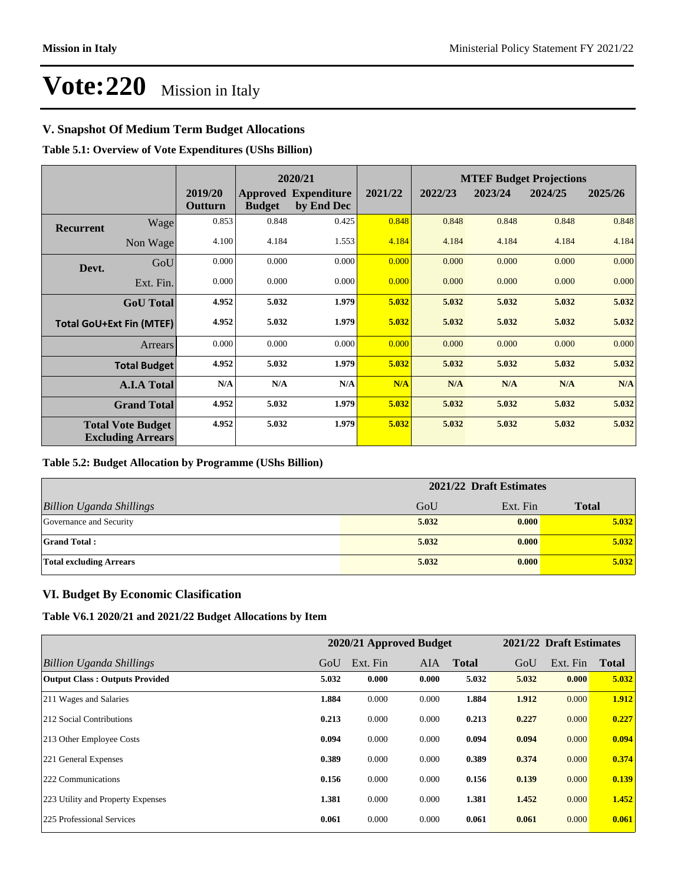#### **V. Snapshot Of Medium Term Budget Allocations**

**Table 5.1: Overview of Vote Expenditures (UShs Billion)**

|                  |                                                      | 2020/21            |               |                                           |         |         | <b>MTEF Budget Projections</b> |         |         |
|------------------|------------------------------------------------------|--------------------|---------------|-------------------------------------------|---------|---------|--------------------------------|---------|---------|
|                  |                                                      | 2019/20<br>Outturn | <b>Budget</b> | <b>Approved Expenditure</b><br>by End Dec | 2021/22 | 2022/23 | 2023/24                        | 2024/25 | 2025/26 |
| <b>Recurrent</b> | Wage                                                 | 0.853              | 0.848         | 0.425                                     | 0.848   | 0.848   | 0.848                          | 0.848   | 0.848   |
|                  | Non Wage                                             | 4.100              | 4.184         | 1.553                                     | 4.184   | 4.184   | 4.184                          | 4.184   | 4.184   |
| Devt.            | GoU                                                  | 0.000              | 0.000         | 0.000                                     | 0.000   | 0.000   | 0.000                          | 0.000   | 0.000   |
|                  | Ext. Fin.                                            | 0.000              | 0.000         | 0.000                                     | 0.000   | 0.000   | 0.000                          | 0.000   | 0.000   |
|                  | <b>GoU</b> Total                                     | 4.952              | 5.032         | 1.979                                     | 5.032   | 5.032   | 5.032                          | 5.032   | 5.032   |
|                  | <b>Total GoU+Ext Fin (MTEF)</b>                      | 4.952              | 5.032         | 1.979                                     | 5.032   | 5.032   | 5.032                          | 5.032   | 5.032   |
|                  | Arrears                                              | 0.000              | 0.000         | 0.000                                     | 0.000   | 0.000   | 0.000                          | 0.000   | 0.000   |
|                  | <b>Total Budget</b>                                  | 4.952              | 5.032         | 1.979                                     | 5.032   | 5.032   | 5.032                          | 5.032   | 5.032   |
|                  | <b>A.I.A Total</b>                                   | N/A                | N/A           | N/A                                       | N/A     | N/A     | N/A                            | N/A     | N/A     |
|                  | <b>Grand Total</b>                                   | 4.952              | 5.032         | 1.979                                     | 5.032   | 5.032   | 5.032                          | 5.032   | 5.032   |
|                  | <b>Total Vote Budget</b><br><b>Excluding Arrears</b> | 4.952              | 5.032         | 1.979                                     | 5.032   | 5.032   | 5.032                          | 5.032   | 5.032   |

#### **Table 5.2: Budget Allocation by Programme (UShs Billion)**

|                                 | 2021/22 Draft Estimates |          |              |  |  |
|---------------------------------|-------------------------|----------|--------------|--|--|
| <b>Billion Uganda Shillings</b> | GoU                     | Ext. Fin | <b>Total</b> |  |  |
| Governance and Security         | 5.032                   | 0.000    | 5.032        |  |  |
| <b>Grand Total:</b>             | 5.032                   | 0.000    | 5.032        |  |  |
| <b>Total excluding Arrears</b>  | 5.032                   | 0.000    | 5.032        |  |  |

#### **VI. Budget By Economic Clasification**

**Table V6.1 2020/21 and 2021/22 Budget Allocations by Item**

|                                       |       | 2020/21 Approved Budget |            |              |       | 2021/22 Draft Estimates |              |
|---------------------------------------|-------|-------------------------|------------|--------------|-------|-------------------------|--------------|
| Billion Uganda Shillings              | GoU   | Ext. Fin                | <b>AIA</b> | <b>Total</b> | GoU   | Ext. Fin                | <b>Total</b> |
| <b>Output Class: Outputs Provided</b> | 5.032 | 0.000                   | 0.000      | 5.032        | 5.032 | 0.000                   | 5.032        |
| 211 Wages and Salaries                | 1.884 | 0.000                   | 0.000      | 1.884        | 1.912 | 0.000                   | 1.912        |
| 212 Social Contributions              | 0.213 | 0.000                   | 0.000      | 0.213        | 0.227 | 0.000                   | 0.227        |
| 213 Other Employee Costs              | 0.094 | 0.000                   | 0.000      | 0.094        | 0.094 | 0.000                   | 0.094        |
| 221 General Expenses                  | 0.389 | 0.000                   | 0.000      | 0.389        | 0.374 | 0.000                   | 0.374        |
| 222 Communications                    | 0.156 | 0.000                   | 0.000      | 0.156        | 0.139 | 0.000                   | 0.139        |
| 223 Utility and Property Expenses     | 1.381 | 0.000                   | 0.000      | 1.381        | 1.452 | 0.000                   | 1.452        |
| 225 Professional Services             | 0.061 | 0.000                   | 0.000      | 0.061        | 0.061 | 0.000                   | 0.061        |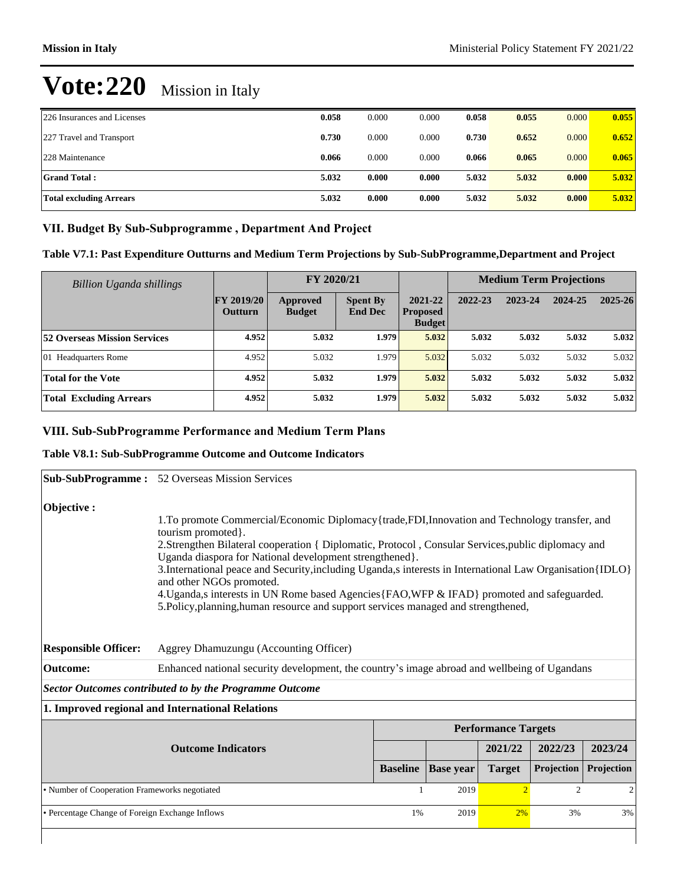| 226 Insurances and Licenses    | 0.058 | 0.000 | 0.000 | 0.058 | 0.055 | 0.000 | 0.055 |
|--------------------------------|-------|-------|-------|-------|-------|-------|-------|
| 227 Travel and Transport       | 0.730 | 0.000 | 0.000 | 0.730 | 0.652 | 0.000 | 0.652 |
| 228 Maintenance                | 0.066 | 0.000 | 0.000 | 0.066 | 0.065 | 0.000 | 0.065 |
| <b>Grand Total:</b>            | 5.032 | 0.000 | 0.000 | 5.032 | 5.032 | 0.000 | 5.032 |
| <b>Total excluding Arrears</b> | 5.032 | 0.000 | 0.000 | 5.032 | 5.032 | 0.000 | 5.032 |

#### VII. Budget By Sub-Subprogramme, Department And Project

#### **Table V7.1: Past Expenditure Outturns and Medium Term Projections by Sub-SubProgramme,Department and Project**

| <b>Billion Uganda shillings</b>     |                                     | FY 2020/21                |                                   |                                             | <b>Medium Term Projections</b> |         |         |             |
|-------------------------------------|-------------------------------------|---------------------------|-----------------------------------|---------------------------------------------|--------------------------------|---------|---------|-------------|
|                                     | <b>FY 2019/20</b><br><b>Outturn</b> | Approved<br><b>Budget</b> | <b>Spent By</b><br><b>End Dec</b> | 2021-22<br><b>Proposed</b><br><b>Budget</b> | 2022-23                        | 2023-24 | 2024-25 | $2025 - 26$ |
| <b>52 Overseas Mission Services</b> | 4.952                               | 5.032                     | 1.979                             | 5.032                                       | 5.032                          | 5.032   | 5.032   | 5.032       |
| 01 Headquarters Rome                | 4.952                               | 5.032                     | 1.979                             | 5.032                                       | 5.032                          | 5.032   | 5.032   | 5.032       |
| <b>Total for the Vote</b>           | 4.952                               | 5.032                     | 1.979                             | 5.032                                       | 5.032                          | 5.032   | 5.032   | 5.032       |
| <b>Total Excluding Arrears</b>      | 4.952                               | 5.032                     | 1.979                             | 5.032                                       | 5.032                          | 5.032   | 5.032   | 5.032       |

#### **VIII. Sub-SubProgramme Performance and Medium Term Plans**

#### **Table V8.1: Sub-SubProgramme Outcome and Outcome Indicators**

|                                                 | <b>Sub-SubProgramme :</b> 52 Overseas Mission Services                                                                                                                                                                                                                                                                                                                                                                                                                                                                                                                                                                 |                 |                                        |                            |                   |                |  |
|-------------------------------------------------|------------------------------------------------------------------------------------------------------------------------------------------------------------------------------------------------------------------------------------------------------------------------------------------------------------------------------------------------------------------------------------------------------------------------------------------------------------------------------------------------------------------------------------------------------------------------------------------------------------------------|-----------------|----------------------------------------|----------------------------|-------------------|----------------|--|
| Objective :                                     | 1. To promote Commercial/Economic Diplomacy {trade, FDI, Innovation and Technology transfer, and<br>tourism promoted.<br>2.Strengthen Bilateral cooperation { Diplomatic, Protocol, Consular Services, public diplomacy and<br>Uganda diaspora for National development strengthened}.<br>3. International peace and Security, including Uganda, s interests in International Law Organisation {IDLO}<br>and other NGOs promoted.<br>4. Uganda,s interests in UN Rome based Agencies {FAO, WFP & IFAD} promoted and safeguarded.<br>5. Policy, planning, human resource and support services managed and strengthened, |                 |                                        |                            |                   |                |  |
| <b>Responsible Officer:</b>                     | Aggrey Dhamuzungu (Accounting Officer)                                                                                                                                                                                                                                                                                                                                                                                                                                                                                                                                                                                 |                 |                                        |                            |                   |                |  |
| <b>Outcome:</b>                                 | Enhanced national security development, the country's image abroad and wellbeing of Ugandans                                                                                                                                                                                                                                                                                                                                                                                                                                                                                                                           |                 |                                        |                            |                   |                |  |
|                                                 | <b>Sector Outcomes contributed to by the Programme Outcome</b>                                                                                                                                                                                                                                                                                                                                                                                                                                                                                                                                                         |                 |                                        |                            |                   |                |  |
|                                                 | 1. Improved regional and International Relations                                                                                                                                                                                                                                                                                                                                                                                                                                                                                                                                                                       |                 |                                        |                            |                   |                |  |
|                                                 |                                                                                                                                                                                                                                                                                                                                                                                                                                                                                                                                                                                                                        |                 |                                        | <b>Performance Targets</b> |                   |                |  |
|                                                 | <b>Outcome Indicators</b>                                                                                                                                                                                                                                                                                                                                                                                                                                                                                                                                                                                              |                 |                                        | 2021/22                    | 2022/23           | 2023/24        |  |
|                                                 |                                                                                                                                                                                                                                                                                                                                                                                                                                                                                                                                                                                                                        | <b>Baseline</b> | <b>Base</b> year                       | <b>Target</b>              | <b>Projection</b> | Projection     |  |
| • Number of Cooperation Frameworks negotiated   |                                                                                                                                                                                                                                                                                                                                                                                                                                                                                                                                                                                                                        |                 | $\overline{2}$<br>2019<br>$\mathbf{1}$ |                            |                   | $\overline{2}$ |  |
| • Percentage Change of Foreign Exchange Inflows |                                                                                                                                                                                                                                                                                                                                                                                                                                                                                                                                                                                                                        |                 | 2019<br>1%                             | 2%                         | 3%                | 3%             |  |
|                                                 |                                                                                                                                                                                                                                                                                                                                                                                                                                                                                                                                                                                                                        |                 |                                        |                            |                   |                |  |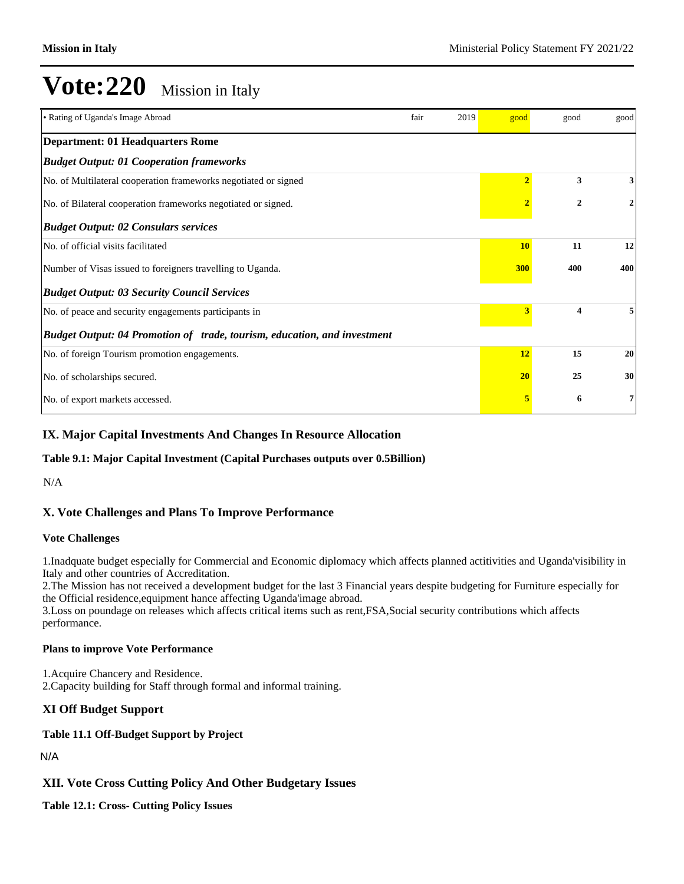| • Rating of Uganda's Image Abroad                                        | fair | 2019 | good           | good         | good |
|--------------------------------------------------------------------------|------|------|----------------|--------------|------|
| <b>Department: 01 Headquarters Rome</b>                                  |      |      |                |              |      |
| <b>Budget Output: 01 Cooperation frameworks</b>                          |      |      |                |              |      |
| No. of Multilateral cooperation frameworks negotiated or signed          |      |      | $\overline{2}$ | 3            | 3    |
| No. of Bilateral cooperation frameworks negotiated or signed.            |      |      |                | $\mathbf{2}$ | 2    |
| <b>Budget Output: 02 Consulars services</b>                              |      |      |                |              |      |
| No. of official visits facilitated                                       |      |      | <b>10</b>      | 11           | 12   |
| Number of Visas issued to foreigners travelling to Uganda.               |      |      | 300            | 400          | 400  |
| <b>Budget Output: 03 Security Council Services</b>                       |      |      |                |              |      |
| No. of peace and security engagements participants in                    |      |      | 3              | 4            |      |
| Budget Output: 04 Promotion of trade, tourism, education, and investment |      |      |                |              |      |
| No. of foreign Tourism promotion engagements.                            |      |      | 12             | 15           | 20   |
| No. of scholarships secured.                                             |      |      | 20             | 25           | 30   |
| No. of export markets accessed.                                          |      |      | 5              | 6            | 7    |

#### **IX. Major Capital Investments And Changes In Resource Allocation**

#### **Table 9.1: Major Capital Investment (Capital Purchases outputs over 0.5Billion)**

N/A

#### **X. Vote Challenges and Plans To Improve Performance**

#### **Vote Challenges**

1.Inadquate budget especially for Commercial and Economic diplomacy which affects planned actitivities and Uganda'visibility in Italy and other countries of Accreditation.

2.The Mission has not received a development budget for the last 3 Financial years despite budgeting for Furniture especially for the Official residence,equipment hance affecting Uganda'image abroad.

3.Loss on poundage on releases which affects critical items such as rent,FSA,Social security contributions which affects performance.

#### **Plans to improve Vote Performance**

1.Acquire Chancery and Residence. 2.Capacity building for Staff through formal and informal training.

#### **XI Off Budget Support**

#### **Table 11.1 Off-Budget Support by Project**

N/A

#### **XII. Vote Cross Cutting Policy And Other Budgetary Issues**

**Table 12.1: Cross- Cutting Policy Issues**